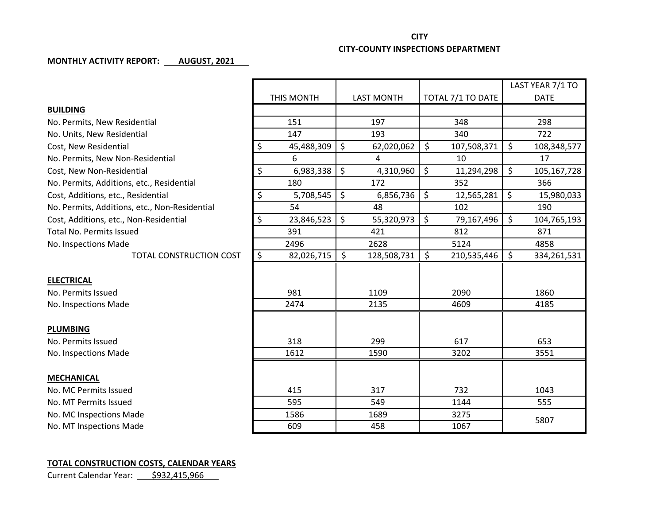## **CITY CITY-COUNTY INSPECTIONS DEPARTMENT**

## **MONTHLY ACTIVITY REPORT: AUGUST, 2021**

|                                               |                  |         |                   |                                         | LAST YEAR 7/1 TO  |
|-----------------------------------------------|------------------|---------|-------------------|-----------------------------------------|-------------------|
|                                               | THIS MONTH       |         | <b>LAST MONTH</b> | TOTAL 7/1 TO DATE                       | <b>DATE</b>       |
| <b>BUILDING</b>                               |                  |         |                   |                                         |                   |
| No. Permits, New Residential                  | 151              |         | 197               | 348                                     | 298               |
| No. Units, New Residential                    | 147              |         | 193               | 340                                     | 722               |
| Cost, New Residential                         | \$<br>45,488,309 | $\zeta$ | 62,020,062        | $\zeta$<br>107,508,371                  | \$<br>108,348,577 |
| No. Permits, New Non-Residential              | 6                |         | 4                 | 10                                      | 17                |
| Cost, New Non-Residential                     | \$<br>6,983,338  | \$      | 4,310,960         | $\zeta$<br>11,294,298                   | \$<br>105,167,728 |
| No. Permits, Additions, etc., Residential     | 180              |         | 172               | 352                                     | 366               |
| Cost, Additions, etc., Residential            | \$<br>5,708,545  | \$      | 6,856,736         | $\zeta$<br>12,565,281                   | \$<br>15,980,033  |
| No. Permits, Additions, etc., Non-Residential | 54               |         | 48                | 102                                     | 190               |
| Cost, Additions, etc., Non-Residential        | \$<br>23,846,523 | \$      | 55,320,973        | $\boldsymbol{\mathsf{S}}$<br>79,167,496 | \$<br>104,765,193 |
| <b>Total No. Permits Issued</b>               | 391              |         | 421               | 812                                     | 871               |
| No. Inspections Made                          | 2496             |         | 2628              | 5124                                    | 4858              |
| <b>TOTAL CONSTRUCTION COST</b>                | \$<br>82,026,715 | \$      | 128,508,731       | \$<br>210,535,446                       | \$<br>334,261,531 |
|                                               |                  |         |                   |                                         |                   |
| <b>ELECTRICAL</b>                             |                  |         |                   |                                         |                   |
| No. Permits Issued                            | 981              |         | 1109              | 2090                                    | 1860              |
| No. Inspections Made                          | 2474             |         | 2135              | 4609                                    | 4185              |
|                                               |                  |         |                   |                                         |                   |
| <b>PLUMBING</b>                               |                  |         |                   |                                         |                   |
| No. Permits Issued                            | 318              |         | 299               | 617                                     | 653               |
| No. Inspections Made                          | 1612             |         | 1590              | 3202                                    | 3551              |
|                                               |                  |         |                   |                                         |                   |
| <b>MECHANICAL</b>                             |                  |         |                   |                                         |                   |
| No. MC Permits Issued                         | 415              |         | 317               | 732                                     | 1043              |
| No. MT Permits Issued                         | 595              |         | 549               | 1144                                    | 555               |
| No. MC Inspections Made                       | 1586             |         | 1689              | 3275                                    | 5807              |
| No. MT Inspections Made                       | 609              |         | 458               | 1067                                    |                   |

## **TOTAL CONSTRUCTION COSTS, CALENDAR YEARS**

Current Calendar Year: \$932,415,966